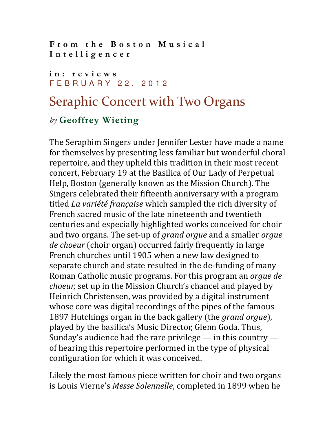From the Boston Musical Intelligencer

## in: reviews F E B R U A R Y 2 2 , 2 0 1 2

## Seraphic Concert with Two Organs

## by Geoffrey Wieting

The Seraphim Singers under Jennifer Lester have made a name for themselves by presenting less familiar but wonderful choral repertoire, and they upheld this tradition in their most recent concert, February 19 at the Basilica of Our Lady of Perpetual Help, Boston (generally known as the Mission Church). The Singers celebrated their fifteenth anniversary with a program titled La variété française which sampled the rich diversity of French sacred music of the late nineteenth and twentieth centuries and especially highlighted works conceived for choir and two organs. The set-up of grand orgue and a smaller orgue de choeur (choir organ) occurred fairly frequently in large French churches until 1905 when a new law designed to separate church and state resulted in the de-funding of many Roman Catholic music programs. For this program an orgue de choeur, set up in the Mission Church's chancel and played by Heinrich Christensen, was provided by a digital instrument whose core was digital recordings of the pipes of the famous 1897 Hutchings organ in the back gallery (the *grand orgue*), played by the basilica's Music Director, Glenn Goda. Thus, Sunday's audience had the rare privilege  $-$  in this country  $$ of hearing this repertoire performed in the type of physical configuration for which it was conceived.

Likely the most famous piece written for choir and two organs is Louis Vierne's Messe Solennelle, completed in 1899 when he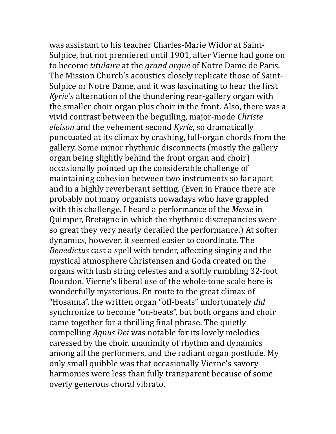was assistant to his teacher Charles-Marie Widor at Saint-Sulpice, but not premiered until 1901, after Vierne had gone on to become *titulaire* at the *grand orgue* of Notre Dame de Paris. The Mission Church's acoustics closely replicate those of Saint-Sulpice or Notre Dame, and it was fascinating to hear the first Kyrie's alternation of the thundering rear-gallery organ with the smaller choir organ plus choir in the front. Also, there was a vivid contrast between the beguiling, major-mode Christe eleison and the vehement second Kyrie, so dramatically punctuated at its climax by crashing, full-organ chords from the gallery. Some minor rhythmic disconnects (mostly the gallery organ being slightly behind the front organ and choir) occasionally pointed up the considerable challenge of maintaining cohesion between two instruments so far apart and in a highly reverberant setting. (Even in France there are probably not many organists nowadays who have grappled with this challenge. I heard a performance of the Messe in Quimper, Bretagne in which the rhythmic discrepancies were so great they very nearly derailed the performance.) At softer dynamics, however, it seemed easier to coordinate. The Benedictus cast a spell with tender, affecting singing and the mystical atmosphere Christensen and Goda created on the organs with lush string celestes and a softly rumbling 32-foot Bourdon. Vierne's liberal use of the whole-tone scale here is wonderfully mysterious. En route to the great climax of "Hosanna", the written organ "off-beats" unfortunately did synchronize to become "on-beats", but both organs and choir came together for a thrilling final phrase. The quietly compelling Agnus Dei was notable for its lovely melodies caressed by the choir, unanimity of rhythm and dynamics among all the performers, and the radiant organ postlude. My only small quibble was that occasionally Vierne's savory harmonies were less than fully transparent because of some overly generous choral vibrato.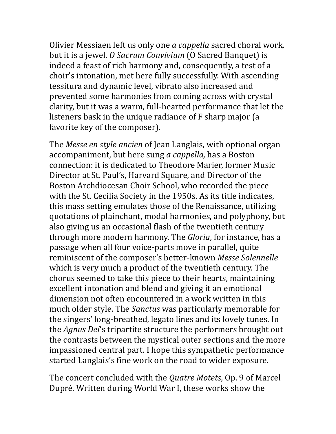Olivier Messiaen left us only one a cappella sacred choral work, but it is a jewel. O Sacrum Convivium (O Sacred Banquet) is indeed a feast of rich harmony and, consequently, a test of a choir's intonation, met here fully successfully. With ascending tessitura and dynamic level, vibrato also increased and prevented some harmonies from coming across with crystal clarity, but it was a warm, full-hearted performance that let the listeners bask in the unique radiance of F sharp major (a favorite key of the composer).

The Messe en style ancien of Jean Langlais, with optional organ accompaniment, but here sung a cappella, has a Boston connection: it is dedicated to Theodore Marier, former Music Director at St. Paul's, Harvard Square, and Director of the Boston Archdiocesan Choir School, who recorded the piece with the St. Cecilia Society in the 1950s. As its title indicates, this mass setting emulates those of the Renaissance, utilizing quotations of plainchant, modal harmonies, and polyphony, but also giving us an occasional flash of the twentieth century through more modern harmony. The Gloria, for instance, has a passage when all four voice-parts move in parallel, quite reminiscent of the composer's better-known Messe Solennelle which is very much a product of the twentieth century. The chorus seemed to take this piece to their hearts, maintaining excellent intonation and blend and giving it an emotional dimension not often encountered in a work written in this much older style. The Sanctus was particularly memorable for the singers' long-breathed, legato lines and its lovely tunes. In the Agnus Dei's tripartite structure the performers brought out the contrasts between the mystical outer sections and the more impassioned central part. I hope this sympathetic performance started Langlais's fine work on the road to wider exposure.

The concert concluded with the Quatre Motets, Op. 9 of Marcel Dupré. Written during World War I, these works show the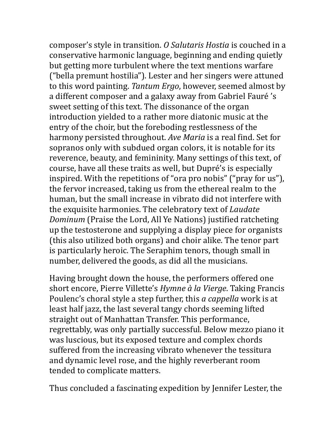composer's style in transition. O Salutaris Hostia is couched in a conservative harmonic language, beginning and ending quietly but getting more turbulent where the text mentions warfare ("bella premunt hostilia"). Lester and her singers were attuned to this word painting. Tantum Ergo, however, seemed almost by a different composer and a galaxy away from Gabriel Fauré 's sweet setting of this text. The dissonance of the organ introduction yielded to a rather more diatonic music at the entry of the choir, but the foreboding restlessness of the harmony persisted throughout. Ave Maria is a real find. Set for sopranos only with subdued organ colors, it is notable for its reverence, beauty, and femininity. Many settings of this text, of course, have all these traits as well, but Dupré's is especially inspired. With the repetitions of "ora pro nobis" ("pray for us"), the fervor increased, taking us from the ethereal realm to the human, but the small increase in vibrato did not interfere with the exquisite harmonies. The celebratory text of Laudate Dominum (Praise the Lord, All Ye Nations) justified ratcheting up the testosterone and supplying a display piece for organists (this also utilized both organs) and choir alike. The tenor part is particularly heroic. The Seraphim tenors, though small in number, delivered the goods, as did all the musicians.

Having brought down the house, the performers offered one short encore, Pierre Villette's Hymne à la Vierge. Taking Francis Poulenc's choral style a step further, this a cappella work is at least half jazz, the last several tangy chords seeming lifted straight out of Manhattan Transfer. This performance, regrettably, was only partially successful. Below mezzo piano it was luscious, but its exposed texture and complex chords suffered from the increasing vibrato whenever the tessitura and dynamic level rose, and the highly reverberant room tended to complicate matters.

Thus concluded a fascinating expedition by Jennifer Lester, the